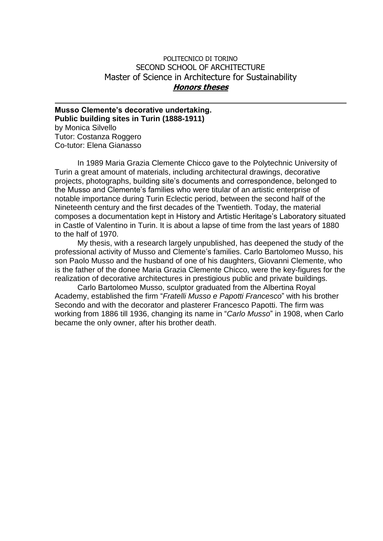## POLITECNICO DI TORINO SECOND SCHOOL OF ARCHITECTURE Master of Science in Architecture for Sustainability **Honors theses**

**Musso Clemente's decorative undertaking. Public building sites in Turin (1888-1911)** by Monica Silvello Tutor: Costanza Roggero Co-tutor: Elena Gianasso

In 1989 Maria Grazia Clemente Chicco gave to the Polytechnic University of Turin a great amount of materials, including architectural drawings, decorative projects, photographs, building site's documents and correspondence, belonged to the Musso and Clemente's families who were titular of an artistic enterprise of notable importance during Turin Eclectic period, between the second half of the Nineteenth century and the first decades of the Twentieth. Today, the material composes a documentation kept in History and Artistic Heritage's Laboratory situated in Castle of Valentino in Turin. It is about a lapse of time from the last years of 1880 to the half of 1970.

My thesis, with a research largely unpublished, has deepened the study of the professional activity of Musso and Clemente's families. Carlo Bartolomeo Musso, his son Paolo Musso and the husband of one of his daughters, Giovanni Clemente, who is the father of the donee Maria Grazia Clemente Chicco, were the key-figures for the realization of decorative architectures in prestigious public and private buildings.

Carlo Bartolomeo Musso, sculptor graduated from the Albertina Royal Academy, established the firm "*Fratelli Musso e Papotti Francesco*" with his brother Secondo and with the decorator and plasterer Francesco Papotti. The firm was working from 1886 till 1936, changing its name in "*Carlo Musso*" in 1908, when Carlo became the only owner, after his brother death.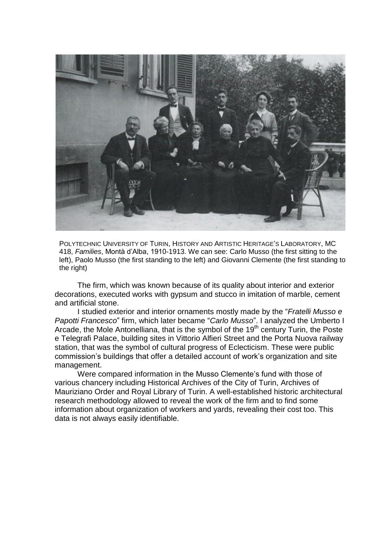

POLYTECHNIC UNIVERSITY OF TURIN, HISTORY AND ARTISTIC HERITAGE'S LABORATORY, MC 418, *Families*, Montà d'Alba, 1910-1913. We can see: Carlo Musso (the first sitting to the left), Paolo Musso (the first standing to the left) and Giovanni Clemente (the first standing to the right)

The firm, which was known because of its quality about interior and exterior decorations, executed works with gypsum and stucco in imitation of marble, cement and artificial stone.

I studied exterior and interior ornaments mostly made by the "*Fratelli Musso e Papotti Francesco*" firm, which later became "*Carlo Musso*". I analyzed the Umberto I Arcade, the Mole Antonelliana, that is the symbol of the 19<sup>th</sup> century Turin, the Poste e Telegrafi Palace, building sites in Vittorio Alfieri Street and the Porta Nuova railway station, that was the symbol of cultural progress of Eclecticism. These were public commission's buildings that offer a detailed account of work's organization and site management.

Were compared information in the Musso Clemente's fund with those of various chancery including Historical Archives of the City of Turin, Archives of Mauriziano Order and Royal Library of Turin. A well-established historic architectural research methodology allowed to reveal the work of the firm and to find some information about organization of workers and yards, revealing their cost too. This data is not always easily identifiable.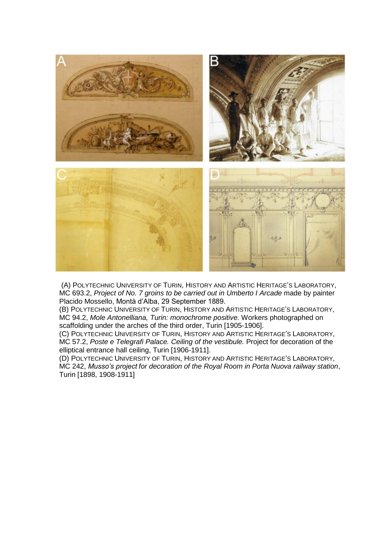

(A) POLYTECHNIC UNIVERSITY OF TURIN, HISTORY AND ARTISTIC HERITAGE'S LABORATORY, MC 693.2, *Project of No. 7 groins to be carried out in Umberto I Arcade* made by painter Placido Mossello, Montà d'Alba, 29 September 1889.

(B) POLYTECHNIC UNIVERSITY OF TURIN, HISTORY AND ARTISTIC HERITAGE'S LABORATORY, MC 94.2, *Mole Antonelliana, Turin: monochrome positive.* Workers photographed on scaffolding under the arches of the third order, Turin [1905-1906].

(C) POLYTECHNIC UNIVERSITY OF TURIN, HISTORY AND ARTISTIC HERITAGE'S LABORATORY, MC 57.2, *Poste e Telegrafi Palace. Ceiling of the vestibule.* Project for decoration of the elliptical entrance hall ceiling, Turin [1906-1911].

(D) POLYTECHNIC UNIVERSITY OF TURIN, HISTORY AND ARTISTIC HERITAGE'S LABORATORY, MC 242, *Musso's project for decoration of the Royal Room in Porta Nuova railway station*, Turin [1898, 1908-1911]